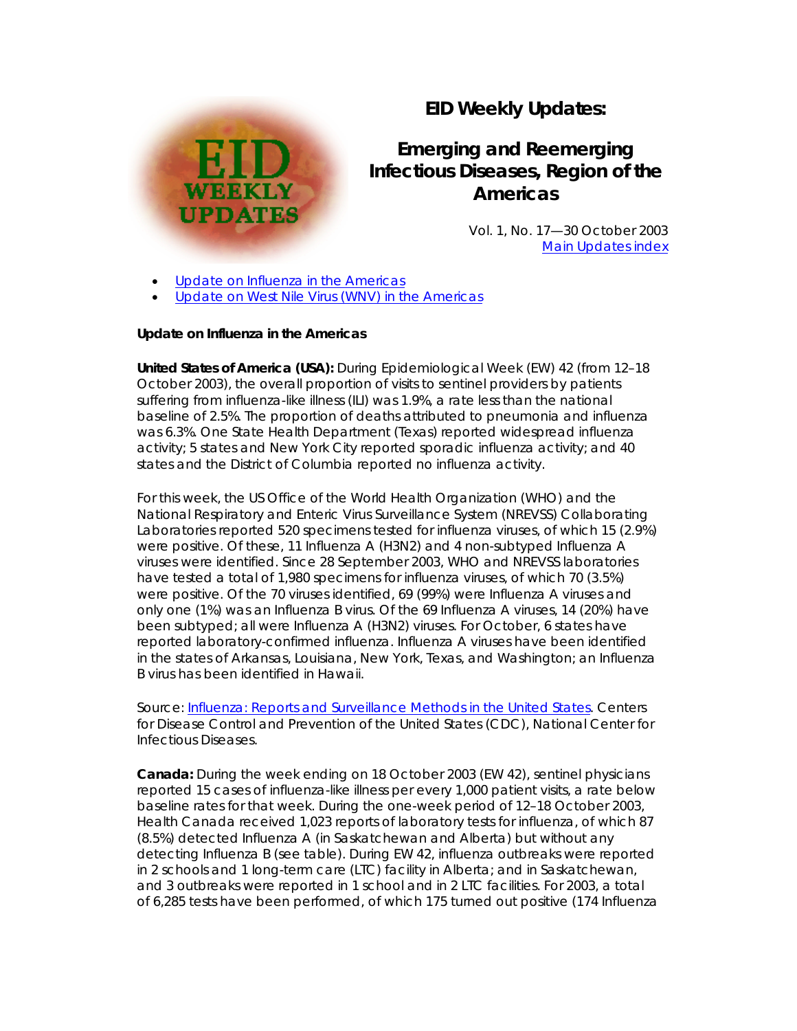# **EID Weekly Updates:**

# **Emerging and Reemerging Infectious Diseases, Region of the Americas**

Vol. 1, No. 17—30 October 2003 [Main Updates index](http://www.paho.org/English/AD/DPC/CD/eid-eer-ew.htm)

[Update on Influenza in the Americas](http://www.paho.org/English/AD/DPC/CD/eid-eer-30-oct-2003.htm#flu#flu) 

[Update on West Nile Virus \(WNV\) in the Americas](http://www.paho.org/English/AD/DPC/CD/eid-eer-30-oct-2003.htm#wnv#wnv) 

#### **Update on Influenza in the Americas**

**WEEKLY UPDATES** 

*United States of America (USA):* During Epidemiological Week (EW) 42 (from 12–18 October 2003), the overall proportion of visits to sentinel providers by patients suffering from influenza-like illness (ILI) was 1.9%, a rate less than the national baseline of 2.5%. The proportion of deaths attributed to pneumonia and influenza was 6.3%. One State Health Department (Texas) reported widespread influenza activity; 5 states and New York City reported sporadic influenza activity; and 40 states and the District of Columbia reported no influenza activity.

For this week, the US Office of the World Health Organization (WHO) and the National Respiratory and Enteric Virus Surveillance System (NREVSS) Collaborating Laboratories reported 520 specimens tested for influenza viruses, of which 15 (2.9%) were positive. Of these, 11 Influenza A (H3N2) and 4 non-subtyped Influenza A viruses were identified. Since 28 September 2003, WHO and NREVSS laboratories have tested a total of 1,980 specimens for influenza viruses, of which 70 (3.5%) were positive. Of the 70 viruses identified, 69 (99%) were Influenza A viruses and only one (1%) was an Influenza B virus. Of the 69 Influenza A viruses, 14 (20%) have been subtyped; all were Influenza A (H3N2) viruses. For October, 6 states have reported laboratory-confirmed influenza. Influenza A viruses have been identified in the states of Arkansas, Louisiana, New York, Texas, and Washington; an Influenza B virus has been identified in Hawaii.

*Source: [Influenza: Reports and Surveillance Methods in the United States](http://www.cdc.gov/ncidod/diseases/flu/weeklychoice.htm)*. Centers for Disease Control and Prevention of the United States (CDC), National Center for Infectious Diseases.

*Canada:* During the week ending on 18 October 2003 (EW 42), sentinel physicians reported 15 cases of influenza-like illness per every 1,000 patient visits, a rate below baseline rates for that week. During the one-week period of 12–18 October 2003, Health Canada received 1,023 reports of laboratory tests for influenza, of which 87 (8.5%) detected Influenza A (in Saskatchewan and Alberta) but without any detecting Influenza B (see table). During EW 42, influenza outbreaks were reported in 2 schools and 1 long-term care (LTC) facility in Alberta; and in Saskatchewan, and 3 outbreaks were reported in 1 school and in 2 LTC facilities. For 2003, a total of 6,285 tests have been performed, of which 175 turned out positive (174 Influenza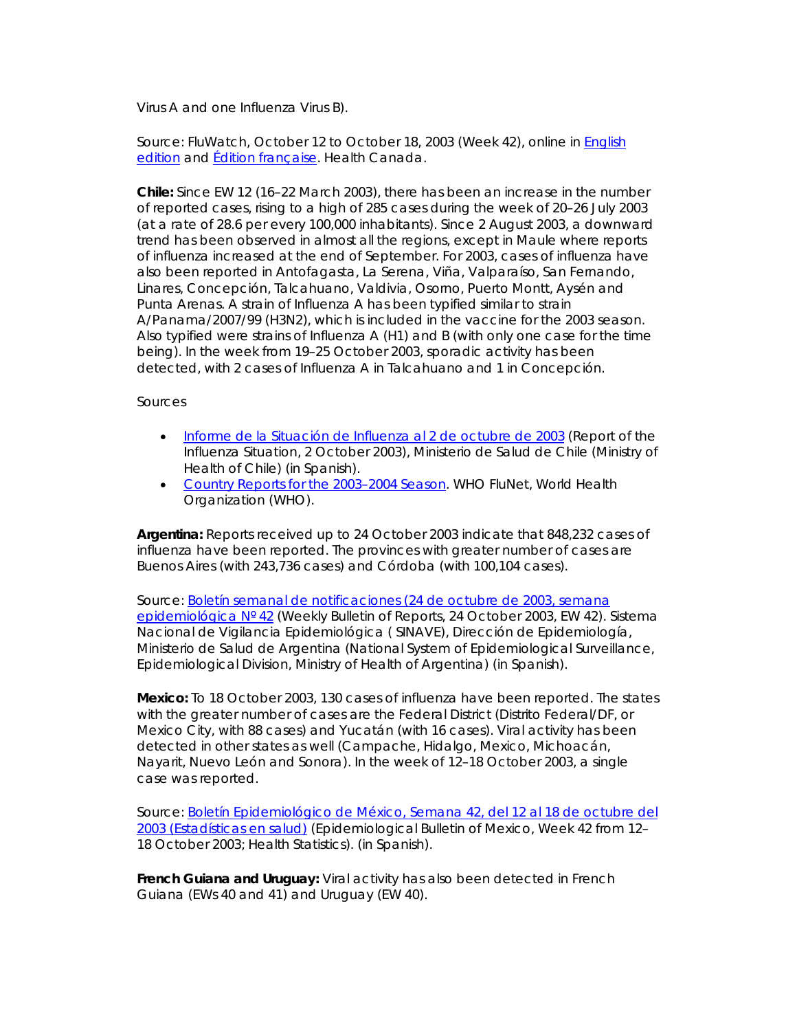Virus A and one Influenza Virus B).

*Source: FluWatch, October 12 to October 18, 2003 (Week 42)*, online in [English](http://www.hc-sc.gc.ca/pphb-dgspsp/fluwatch/03-04/w42_03/index.html#canada)  [edition](http://www.hc-sc.gc.ca/pphb-dgspsp/fluwatch/03-04/w42_03/index.html#canada) and [Édition française.](http://www.hc-sc.gc.ca/pphb-dgspsp/fluwatch/03-04/w42_03/index_f.html) Health Canada.

*Chile:* Since EW 12 (16–22 March 2003), there has been an increase in the number of reported cases, rising to a high of 285 cases during the week of 20–26 July 2003 (at a rate of 28.6 per every 100,000 inhabitants). Since 2 August 2003, a downward trend has been observed in almost all the regions, except in Maule where reports of influenza increased at the end of September. For 2003, cases of influenza have also been reported in Antofagasta, La Serena, Viña, Valparaíso, San Fernando, Linares, Concepción, Talcahuano, Valdivia, Osorno, Puerto Montt, Aysén and Punta Arenas. A strain of Influenza A has been typified similar to strain A/Panama/2007/99 (H3N2), which is included in the vaccine for the 2003 season. Also typified were strains of Influenza A (H1) and B (with only one case for the time being). In the week from 19–25 October 2003, sporadic activity has been detected, with 2 cases of Influenza A in Talcahuano and 1 in Concepción.

### *Sources*

- *[Informe de la Situación de Influenza al 2 de octubre de 2003](http://epi.minsal.cl/epi/html/bolets/reportes/Influenza/influenza.htm)* (Report of the Influenza Situation, 2 October 2003), Ministerio de Salud de Chile (Ministry of Health of Chile) (in Spanish).
- *[Country Reports for the 2003–2004 Season](http://rhone.b3e.jussieu.fr/flunet/www/news.html)*. WHO *FluNet*, World Health Organization (WHO).

*Argentina:* Reports received up to 24 October 2003 indicate that 848,232 cases of influenza have been reported. The provinces with greater number of cases are Buenos Aires (with 243,736 cases) and Córdoba (with 100,104 cases).

*Source: [Boletín semanal de notificaciones \(24 de octubre de 2003, semana](http://www.direpi.vigia.org.ar/boletines/semana42%BA35.xls)  [epidemiológica Nº 42](http://www.direpi.vigia.org.ar/boletines/semana42%BA35.xls)* (Weekly Bulletin of Reports, 24 October 2003, EW 42). Sistema Nacional de Vigilancia Epidemiológica ( SINAVE), Dirección de Epidemiología, Ministerio de Salud de Argentina (National System of Epidemiological Surveillance, Epidemiological Division, Ministry of Health of Argentina) (in Spanish).

*Mexico:* To 18 October 2003, 130 cases of influenza have been reported. The states with the greater number of cases are the Federal District (Distrito Federal/DF, or Mexico City, with 88 cases) and Yucatán (with 16 cases). Viral activity has been detected in other states as well (Campache, Hidalgo, Mexico, Michoacán, Nayarit, Nuevo León and Sonora). In the week of 12–18 October 2003, a single case was reported.

*Source: [Boletín Epidemiológico de México, Semana 42, del 12 al 18 de octubre del](http://www.epi.org.mx/boletin/2003/sem42/index4203.htm)  [2003 \(Estadísticas en salud\)](http://www.epi.org.mx/boletin/2003/sem42/index4203.htm)* (Epidemiological Bulletin of Mexico, Week 42 from 12– 18 October 2003; Health Statistics). (in Spanish).

*French Guiana and Uruguay:* Viral activity has also been detected in French Guiana (EWs 40 and 41) and Uruguay (EW 40).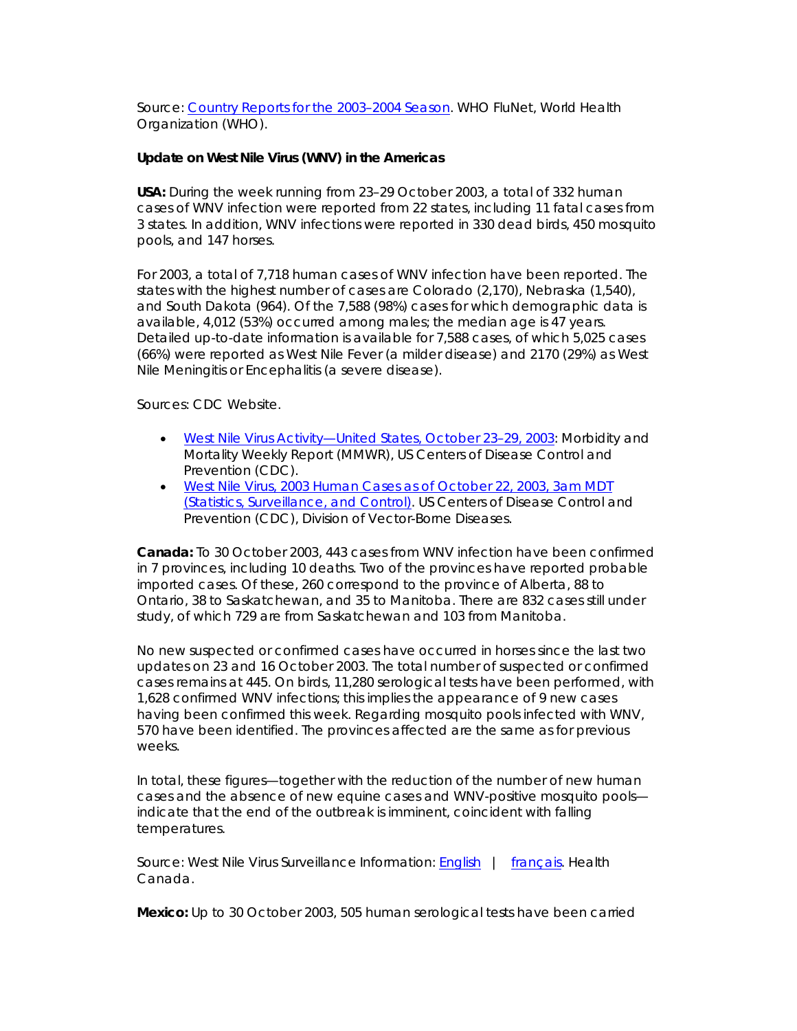*Source: [Country Reports for the 2003–2004 Season](http://rhone.b3e.jussieu.fr/flunet/www/news.html)*. WHO *FluNet*, World Health Organization (WHO).

## **Update on West Nile Virus (WNV) in the Americas**

*USA:* During the week running from 23–29 October 2003, a total of 332 human cases of WNV infection were reported from 22 states, including 11 fatal cases from 3 states. In addition, WNV infections were reported in 330 dead birds, 450 mosquito pools, and 147 horses.

For 2003, a total of 7,718 human cases of WNV infection have been reported. The states with the highest number of cases are Colorado (2,170), Nebraska (1,540), and South Dakota (964). Of the 7,588 (98%) cases for which demographic data is available, 4,012 (53%) occurred among males; the median age is 47 years. Detailed up-to-date information is available for 7,588 cases, of which 5,025 cases (66%) were reported as West Nile Fever (a milder disease) and 2170 (29%) as West Nile Meningitis or Encephalitis (a severe disease).

*Sources:* CDC Website.

- [West Nile Virus Activity—United States, October 23–29, 2003:](http://www.cdc.gov/mmwr/preview/mmwrhtml/mm5243a8.htm) *Morbidity and Mortality Weekly Report (MMWR)*, US Centers of Disease Control and Prevention (CDC).
- [West Nile Virus, 2003 Human Cases as of October 22, 2003, 3am MDT](http://www.cdc.gov/ncidod/dvbid/westnile/surv&controlCaseCount03.htm)  [\(Statistics, Surveillance, and Control\)](http://www.cdc.gov/ncidod/dvbid/westnile/surv&controlCaseCount03.htm). US Centers of Disease Control and Prevention (CDC), Division of Vector-Borne Diseases.

*Canada:* To 30 October 2003, 443 cases from WNV infection have been confirmed in 7 provinces, including 10 deaths. Two of the provinces have reported probable imported cases. Of these, 260 correspond to the province of Alberta, 88 to Ontario, 38 to Saskatchewan, and 35 to Manitoba. There are 832 cases still under study, of which 729 are from Saskatchewan and 103 from Manitoba.

No new suspected or confirmed cases have occurred in horses since the last two updates on 23 and 16 October 2003. The total number of suspected or confirmed cases remains at 445. On birds, 11,280 serological tests have been performed, with 1,628 confirmed WNV infections; this implies the appearance of 9 new cases having been confirmed this week. Regarding mosquito pools infected with WNV, 570 have been identified. The provinces affected are the same as for previous weeks.

In total, these figures—together with the reduction of the number of new human cases and the absence of new equine cases and WNV-positive mosquito pools indicate that the end of the outbreak is imminent, coincident with falling temperatures.

*Source: West Nile Virus Surveillance Information*: [English](http://www.hc-sc.gc.ca/pphb-dgspsp/wnv-vwn/mon_e.html) | [français](http://www.hc-sc.gc.ca/pphb-dgspsp/wnv-vwn/mon_f.html). Health Canada.

*Mexico:* Up to 30 October 2003, 505 human serological tests have been carried